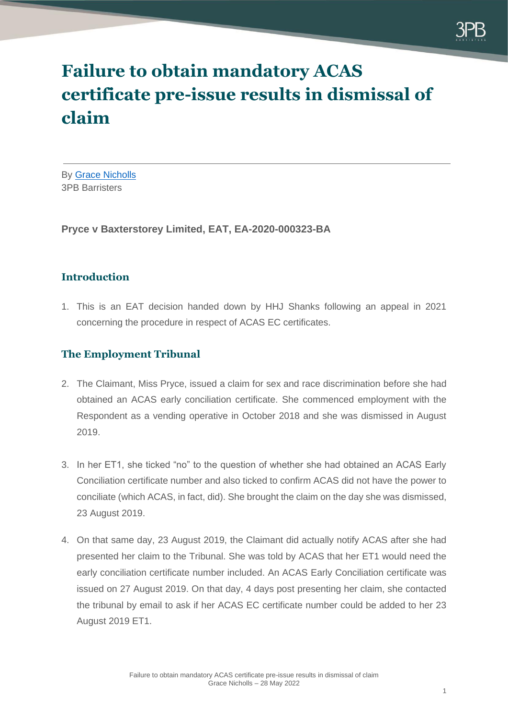

# **Failure to obtain mandatory ACAS certificate pre-issue results in dismissal of claim**

By [Grace Nicholls](https://www.3pb.co.uk/barristers/grace-nicholls/) 3PB Barristers

**Pryce v Baxterstorey Limited, EAT, EA-2020-000323-BA**

## **Introduction**

1. This is an EAT decision handed down by HHJ Shanks following an appeal in 2021 concerning the procedure in respect of ACAS EC certificates.

## **The Employment Tribunal**

- 2. The Claimant, Miss Pryce, issued a claim for sex and race discrimination before she had obtained an ACAS early conciliation certificate. She commenced employment with the Respondent as a vending operative in October 2018 and she was dismissed in August 2019.
- 3. In her ET1, she ticked "no" to the question of whether she had obtained an ACAS Early Conciliation certificate number and also ticked to confirm ACAS did not have the power to conciliate (which ACAS, in fact, did). She brought the claim on the day she was dismissed, 23 August 2019.
- 4. On that same day, 23 August 2019, the Claimant did actually notify ACAS after she had presented her claim to the Tribunal. She was told by ACAS that her ET1 would need the early conciliation certificate number included. An ACAS Early Conciliation certificate was issued on 27 August 2019. On that day, 4 days post presenting her claim, she contacted the tribunal by email to ask if her ACAS EC certificate number could be added to her 23 August 2019 ET1.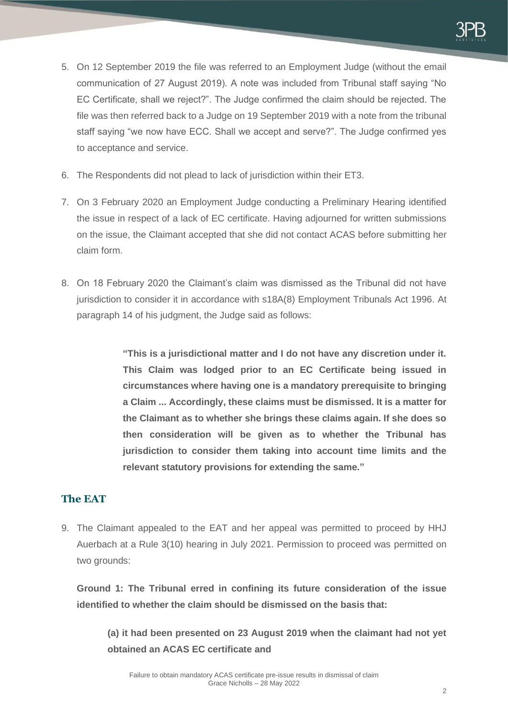

- 5. On 12 September 2019 the file was referred to an Employment Judge (without the email communication of 27 August 2019). A note was included from Tribunal staff saying "No EC Certificate, shall we reject?". The Judge confirmed the claim should be rejected. The file was then referred back to a Judge on 19 September 2019 with a note from the tribunal staff saying "we now have ECC. Shall we accept and serve?". The Judge confirmed yes to acceptance and service.
- 6. The Respondents did not plead to lack of jurisdiction within their ET3.
- 7. On 3 February 2020 an Employment Judge conducting a Preliminary Hearing identified the issue in respect of a lack of EC certificate. Having adjourned for written submissions on the issue, the Claimant accepted that she did not contact ACAS before submitting her claim form.
- 8. On 18 February 2020 the Claimant's claim was dismissed as the Tribunal did not have jurisdiction to consider it in accordance with s18A(8) Employment Tribunals Act 1996. At paragraph 14 of his judgment, the Judge said as follows:

**"This is a jurisdictional matter and I do not have any discretion under it. This Claim was lodged prior to an EC Certificate being issued in circumstances where having one is a mandatory prerequisite to bringing a Claim ... Accordingly, these claims must be dismissed. It is a matter for the Claimant as to whether she brings these claims again. If she does so then consideration will be given as to whether the Tribunal has jurisdiction to consider them taking into account time limits and the relevant statutory provisions for extending the same."**

## **The EAT**

9. The Claimant appealed to the EAT and her appeal was permitted to proceed by HHJ Auerbach at a Rule 3(10) hearing in July 2021. Permission to proceed was permitted on two arounds:

**Ground 1: The Tribunal erred in confining its future consideration of the issue identified to whether the claim should be dismissed on the basis that:**

**(a) it had been presented on 23 August 2019 when the claimant had not yet obtained an ACAS EC certificate and**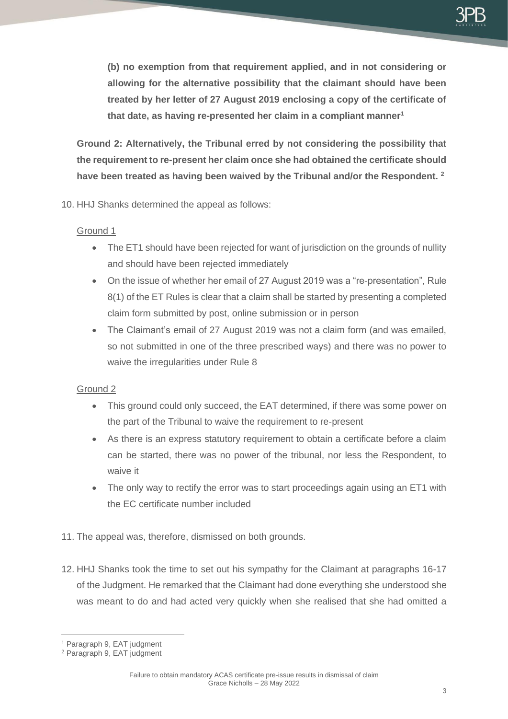**(b) no exemption from that requirement applied, and in not considering or allowing for the alternative possibility that the claimant should have been treated by her letter of 27 August 2019 enclosing a copy of the certificate of that date, as having re-presented her claim in a compliant manner<sup>1</sup>**

**Ground 2: Alternatively, the Tribunal erred by not considering the possibility that the requirement to re-present her claim once she had obtained the certificate should have been treated as having been waived by the Tribunal and/or the Respondent. <sup>2</sup>**

10. HHJ Shanks determined the appeal as follows:

### Ground 1

- The ET1 should have been rejected for want of jurisdiction on the grounds of nullity and should have been rejected immediately
- On the issue of whether her email of 27 August 2019 was a "re-presentation", Rule 8(1) of the ET Rules is clear that a claim shall be started by presenting a completed claim form submitted by post, online submission or in person
- The Claimant's email of 27 August 2019 was not a claim form (and was emailed, so not submitted in one of the three prescribed ways) and there was no power to waive the irregularities under Rule 8

## Ground 2

- This ground could only succeed, the EAT determined, if there was some power on the part of the Tribunal to waive the requirement to re-present
- As there is an express statutory requirement to obtain a certificate before a claim can be started, there was no power of the tribunal, nor less the Respondent, to waive it
- The only way to rectify the error was to start proceedings again using an ET1 with the EC certificate number included
- 11. The appeal was, therefore, dismissed on both grounds.
- 12. HHJ Shanks took the time to set out his sympathy for the Claimant at paragraphs 16-17 of the Judgment. He remarked that the Claimant had done everything she understood she was meant to do and had acted very quickly when she realised that she had omitted a

<sup>1</sup> Paragraph 9, EAT judgment

<sup>2</sup> Paragraph 9, EAT judgment